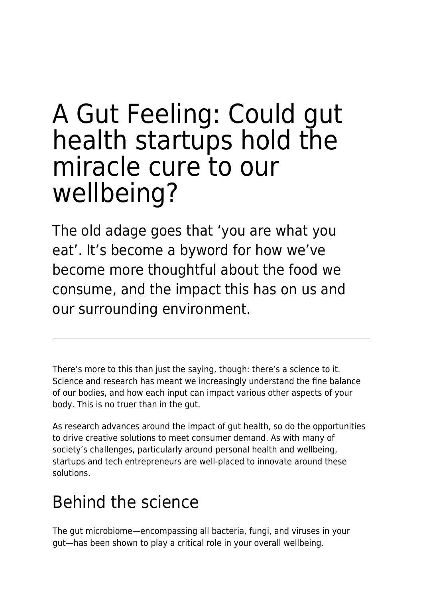## A Gut Feeling: Could gut health startups hold the miracle cure to our wellbeing?

The old adage goes that 'you are what you eat'. It's become a byword for how we've become more thoughtful about the food we consume, and the impact this has on us and our surrounding environment.

There's more to this than just the saying, though: there's a science to it. Science and research has meant we increasingly understand the fine balance of our bodies, and how each input can impact various other aspects of your body. This is no truer than in the gut.

As research advances around the impact of gut health, so do the opportunities to drive creative solutions to meet consumer demand. As with many of society's challenges, particularly around personal health and wellbeing, startups and tech entrepreneurs are well-placed to innovate around these solutions.

## Behind the science

The gut microbiome—encompassing all bacteria, fungi, and viruses in your gut—has been shown to play a critical role in your overall wellbeing.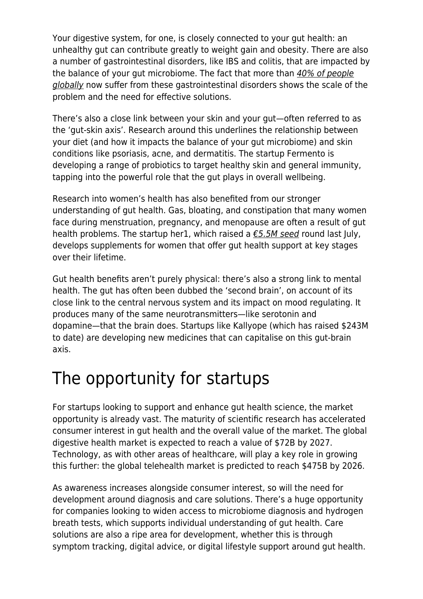Your digestive system, for one, is closely connected to your gut health: an unhealthy gut can contribute greatly to weight gain and obesity. There are also a number of gastrointestinal disorders, like IBS and colitis, that are impacted by the balance of your gut microbiome. The fact that more than [40% of people](https://pubmed.ncbi.nlm.nih.gov/32294476/) [globally](https://pubmed.ncbi.nlm.nih.gov/32294476/) now suffer from these gastrointestinal disorders shows the scale of the problem and the need for effective solutions.

There's also a close link between your skin and your gut—often referred to as the 'gut-skin axis'. Research around this underlines the relationship between your diet (and how it impacts the balance of your gut microbiome) and skin conditions like psoriasis, acne, and dermatitis. The startup Fermento is developing a range of probiotics to target healthy skin and general immunity, tapping into the powerful role that the gut plays in overall wellbeing.

Research into women's health has also benefited from our stronger understanding of gut health. Gas, bloating, and constipation that many women face during menstruation, pregnancy, and menopause are often a result of gut health problems. The startup her1, which raised a  $\epsilon$ 5.5M seed round last July, develops supplements for women that offer gut health support at key stages over their lifetime.

Gut health benefits aren't purely physical: there's also a strong link to mental health. The gut has often been dubbed the 'second brain', on account of its close link to the central nervous system and its impact on mood regulating. It produces many of the same neurotransmitters—like serotonin and dopamine—that the brain does. Startups like Kallyope (which has raised \$243M to date) are developing new medicines that can capitalise on this gut-brain axis.

## The opportunity for startups

For startups looking to support and enhance gut health science, the market opportunity is already vast. The maturity of scientific research has accelerated consumer interest in gut health and the overall value of the market. The global digestive health market is expected to reach a value of \$72B by 2027. Technology, as with other areas of healthcare, will play a key role in growing this further: the global telehealth market is predicted to reach \$475B by 2026.

As awareness increases alongside consumer interest, so will the need for development around diagnosis and care solutions. There's a huge opportunity for companies looking to widen access to microbiome diagnosis and hydrogen breath tests, which supports individual understanding of gut health. Care solutions are also a ripe area for development, whether this is through symptom tracking, digital advice, or digital lifestyle support around gut health.